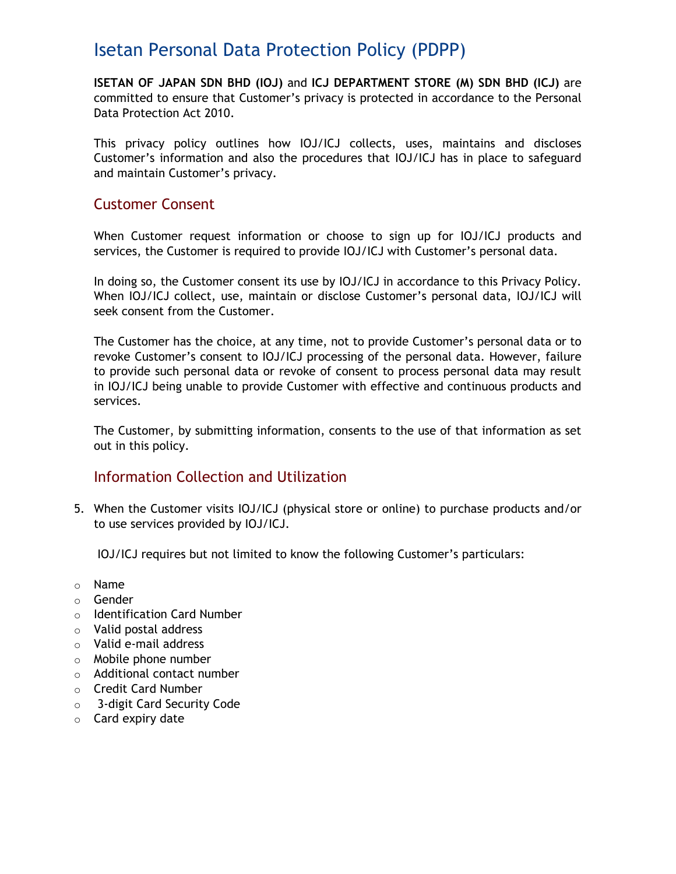# Isetan Personal Data Protection Policy (PDPP)

**ISETAN OF JAPAN SDN BHD (IOJ)** and **ICJ DEPARTMENT STORE (M) SDN BHD (ICJ)** are committed to ensure that Customer's privacy is protected in accordance to the Personal Data Protection Act 2010.

This privacy policy outlines how IOJ/ICJ collects, uses, maintains and discloses Customer's information and also the procedures that IOJ/ICJ has in place to safeguard and maintain Customer's privacy.

## Customer Consent

When Customer request information or choose to sign up for IOJ/ICJ products and services, the Customer is required to provide IOJ/ICJ with Customer's personal data.

In doing so, the Customer consent its use by IOJ/ICJ in accordance to this Privacy Policy. When IOJ/ICJ collect, use, maintain or disclose Customer's personal data, IOJ/ICJ will seek consent from the Customer.

The Customer has the choice, at any time, not to provide Customer's personal data or to revoke Customer's consent to IOJ/ICJ processing of the personal data. However, failure to provide such personal data or revoke of consent to process personal data may result in IOJ/ICJ being unable to provide Customer with effective and continuous products and services.

The Customer, by submitting information, consents to the use of that information as set out in this policy.

# Information Collection and Utilization

5. When the Customer visits IOJ/ICJ (physical store or online) to purchase products and/or to use services provided by IOJ/ICJ.

IOJ/ICJ requires but not limited to know the following Customer's particulars:

- o Name
- o Gender
- o Identification Card Number
- o Valid postal address
- o Valid e-mail address
- o Mobile phone number
- o Additional contact number
- o Credit Card Number
- o 3-digit Card Security Code
- $\circ$  Card expiry date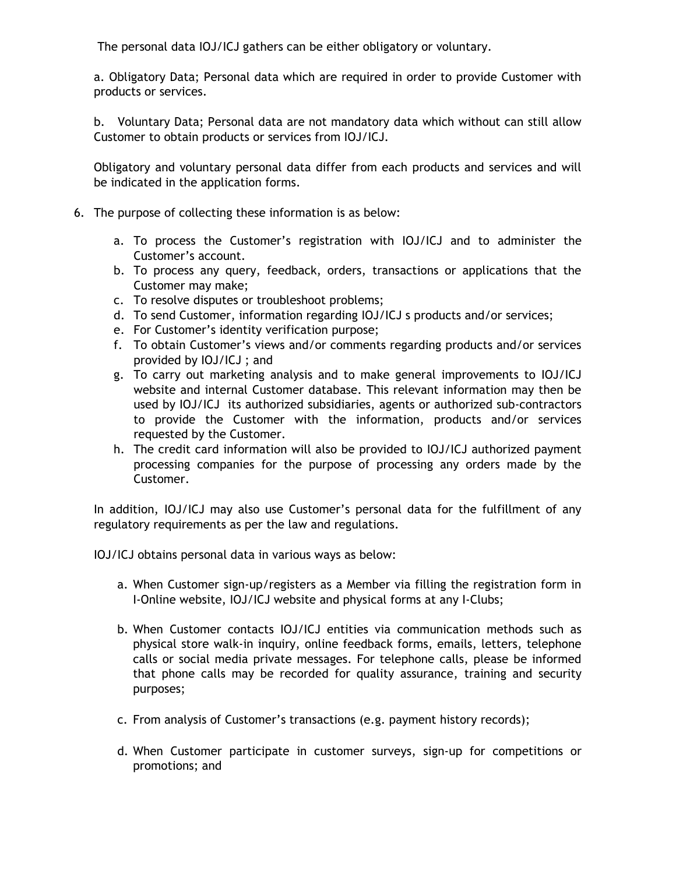The personal data IOJ/ICJ gathers can be either obligatory or voluntary.

a. Obligatory Data; Personal data which are required in order to provide Customer with products or services.

b. Voluntary Data; Personal data are not mandatory data which without can still allow Customer to obtain products or services from IOJ/ICJ.

Obligatory and voluntary personal data differ from each products and services and will be indicated in the application forms.

- 6. The purpose of collecting these information is as below:
	- a. To process the Customer's registration with IOJ/ICJ and to administer the Customer's account.
	- b. To process any query, feedback, orders, transactions or applications that the Customer may make;
	- c. To resolve disputes or troubleshoot problems;
	- d. To send Customer, information regarding IOJ/ICJ s products and/or services;
	- e. For Customer's identity verification purpose;
	- f. To obtain Customer's views and/or comments regarding products and/or services provided by IOJ/ICJ ; and
	- g. To carry out marketing analysis and to make general improvements to IOJ/ICJ website and internal Customer database. This relevant information may then be used by IOJ/ICJ its authorized subsidiaries, agents or authorized sub-contractors to provide the Customer with the information, products and/or services requested by the Customer.
	- h. The credit card information will also be provided to IOJ/ICJ authorized payment processing companies for the purpose of processing any orders made by the Customer.

In addition, IOJ/ICJ may also use Customer's personal data for the fulfillment of any regulatory requirements as per the law and regulations.

IOJ/ICJ obtains personal data in various ways as below:

- a. When Customer sign-up/registers as a Member via filling the registration form in I-Online website, IOJ/ICJ website and physical forms at any I-Clubs;
- b. When Customer contacts IOJ/ICJ entities via communication methods such as physical store walk-in inquiry, online feedback forms, emails, letters, telephone calls or social media private messages. For telephone calls, please be informed that phone calls may be recorded for quality assurance, training and security purposes;
- c. From analysis of Customer's transactions (e.g. payment history records);
- d. When Customer participate in customer surveys, sign-up for competitions or promotions; and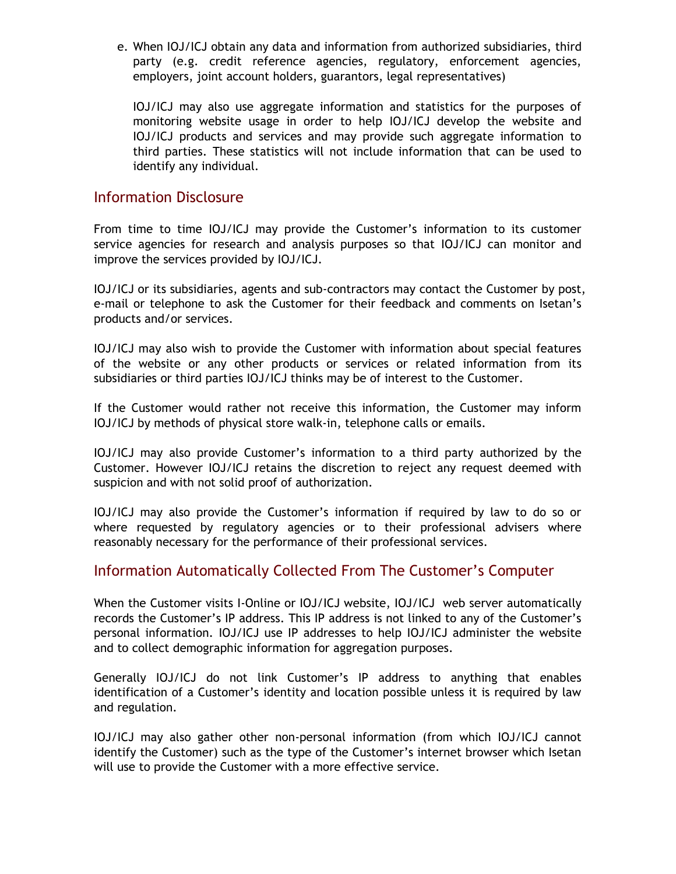e. When IOJ/ICJ obtain any data and information from authorized subsidiaries, third party (e.g. credit reference agencies, regulatory, enforcement agencies, employers, joint account holders, guarantors, legal representatives)

IOJ/ICJ may also use aggregate information and statistics for the purposes of monitoring website usage in order to help IOJ/ICJ develop the website and IOJ/ICJ products and services and may provide such aggregate information to third parties. These statistics will not include information that can be used to identify any individual.

## Information Disclosure

From time to time IOJ/ICJ may provide the Customer's information to its customer service agencies for research and analysis purposes so that IOJ/ICJ can monitor and improve the services provided by IOJ/ICJ.

IOJ/ICJ or its subsidiaries, agents and sub-contractors may contact the Customer by post, e-mail or telephone to ask the Customer for their feedback and comments on Isetan's products and/or services.

IOJ/ICJ may also wish to provide the Customer with information about special features of the website or any other products or services or related information from its subsidiaries or third parties IOJ/ICJ thinks may be of interest to the Customer.

If the Customer would rather not receive this information, the Customer may inform IOJ/ICJ by methods of physical store walk-in, telephone calls or emails.

IOJ/ICJ may also provide Customer's information to a third party authorized by the Customer. However IOJ/ICJ retains the discretion to reject any request deemed with suspicion and with not solid proof of authorization.

IOJ/ICJ may also provide the Customer's information if required by law to do so or where requested by regulatory agencies or to their professional advisers where reasonably necessary for the performance of their professional services.

#### Information Automatically Collected From The Customer's Computer

When the Customer visits I-Online or IOJ/ICJ website, IOJ/ICJ web server automatically records the Customer's IP address. This IP address is not linked to any of the Customer's personal information. IOJ/ICJ use IP addresses to help IOJ/ICJ administer the website and to collect demographic information for aggregation purposes.

Generally IOJ/ICJ do not link Customer's IP address to anything that enables identification of a Customer's identity and location possible unless it is required by law and regulation.

IOJ/ICJ may also gather other non-personal information (from which IOJ/ICJ cannot identify the Customer) such as the type of the Customer's internet browser which Isetan will use to provide the Customer with a more effective service.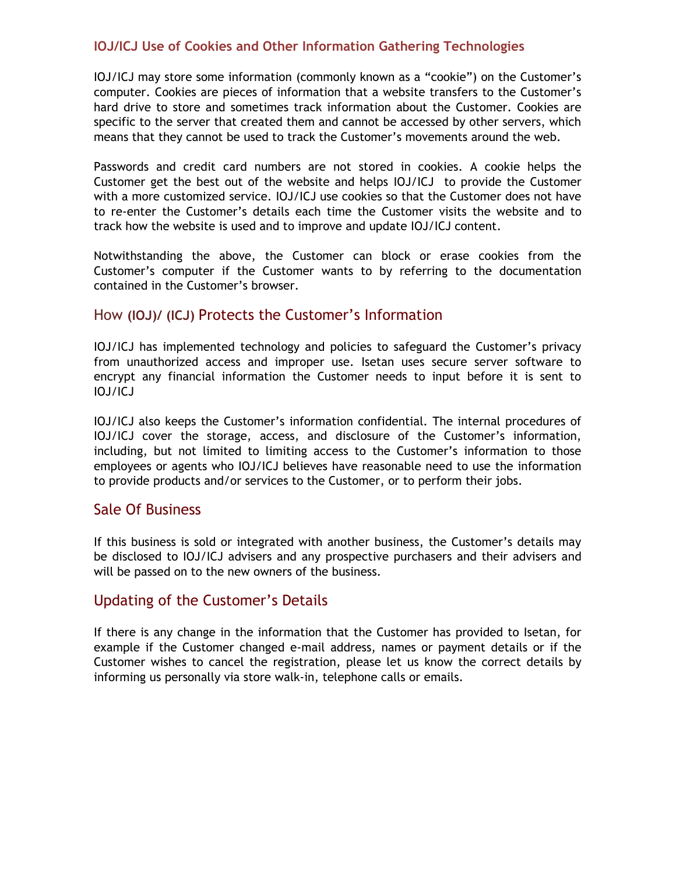## **IOJ/ICJ Use of Cookies and Other Information Gathering Technologies**

IOJ/ICJ may store some information (commonly known as a "cookie") on the Customer's computer. Cookies are pieces of information that a website transfers to the Customer's hard drive to store and sometimes track information about the Customer. Cookies are specific to the server that created them and cannot be accessed by other servers, which means that they cannot be used to track the Customer's movements around the web.

Passwords and credit card numbers are not stored in cookies. A cookie helps the Customer get the best out of the website and helps IOJ/ICJ to provide the Customer with a more customized service. IOJ/ICJ use cookies so that the Customer does not have to re-enter the Customer's details each time the Customer visits the website and to track how the website is used and to improve and update IOJ/ICJ content.

Notwithstanding the above, the Customer can block or erase cookies from the Customer's computer if the Customer wants to by referring to the documentation contained in the Customer's browser.

# How **(IOJ)/ (ICJ)** Protects the Customer's Information

IOJ/ICJ has implemented technology and policies to safeguard the Customer's privacy from unauthorized access and improper use. Isetan uses secure server software to encrypt any financial information the Customer needs to input before it is sent to IOJ/ICJ

IOJ/ICJ also keeps the Customer's information confidential. The internal procedures of IOJ/ICJ cover the storage, access, and disclosure of the Customer's information, including, but not limited to limiting access to the Customer's information to those employees or agents who IOJ/ICJ believes have reasonable need to use the information to provide products and/or services to the Customer, or to perform their jobs.

#### Sale Of Business

If this business is sold or integrated with another business, the Customer's details may be disclosed to IOJ/ICJ advisers and any prospective purchasers and their advisers and will be passed on to the new owners of the business.

#### Updating of the Customer's Details

If there is any change in the information that the Customer has provided to Isetan, for example if the Customer changed e-mail address, names or payment details or if the Customer wishes to cancel the registration, please let us know the correct details by informing us personally via store walk-in, telephone calls or emails.